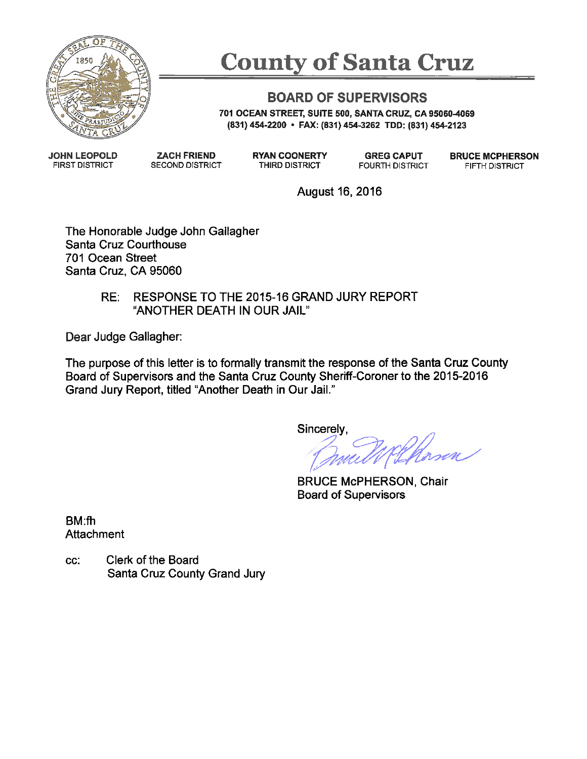

# **County of Santa Cruz**

#### **BOARD OF SUPERVISORS**

701 OCEAN STREET, SUITE 500, SANTA CRUZ, CA 95060-4069 (831) 454-2200 • FAX: (831) 454-3262 TDD: (831) 454-2123

**JOHN LEOPOLD FIRST DISTRICT** 

**ZACH FRIEND SECOND DISTRICT**  **RYAN COONERTY** THIRD DISTRICT

**GREG CAPUT FOURTH DISTRICT**  **BRUCE MCPHERSON** FIFTH DISTRICT

August 16, 2016

The Honorable Judge John Gallagher Santa Cruz Courthouse 701 Ocean Street Santa Cruz. CA 95060

#### RESPONSE TO THE 2015-16 GRAND JURY REPORT RE: "ANOTHER DEATH IN OUR JAIL"

Dear Judge Gallagher:

The purpose of this letter is to formally transmit the response of the Santa Cruz County Board of Supervisors and the Santa Cruz County Sheriff-Coroner to the 2015-2016 Grand Jury Report, titled "Another Death in Our Jail."

Sincerely,

**BRUCE McPHERSON, Chair Board of Supervisors** 

BM:fh Attachment

Clerk of the Board CC: Santa Cruz County Grand Jury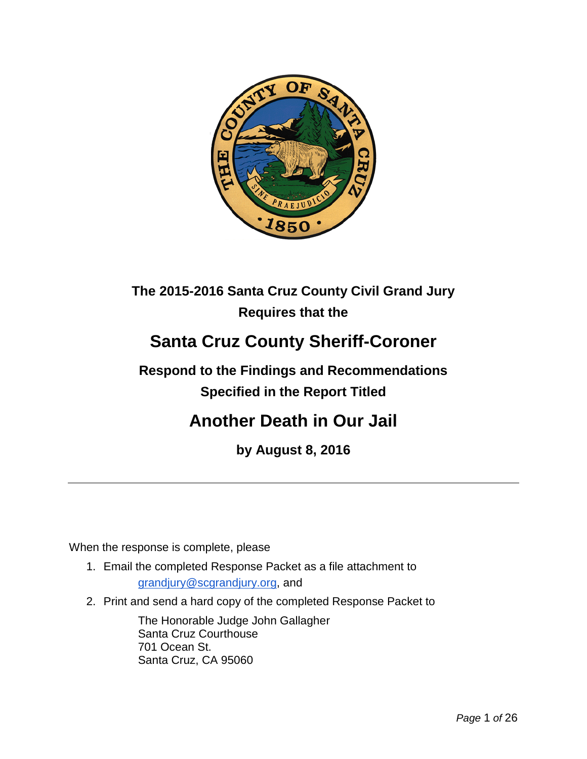

### **The 2015-2016 Santa Cruz County Civil Grand Jury Requires that the**

## **Santa Cruz County Sheriff-Coroner**

### **Respond to the Findings and Recommendations Specified in the Report Titled**

### **Another Death in Our Jail**

**by August 8, 2016**

When the response is complete, please

- 1. Email the completed Response Packet as a file attachment to [grandjury@scgrandjury.org,](mailto:grandjury@scgrandjury.org) and
- 2. Print and send a hard copy of the completed Response Packet to

The Honorable Judge John Gallagher Santa Cruz Courthouse 701 Ocean St. Santa Cruz, CA 95060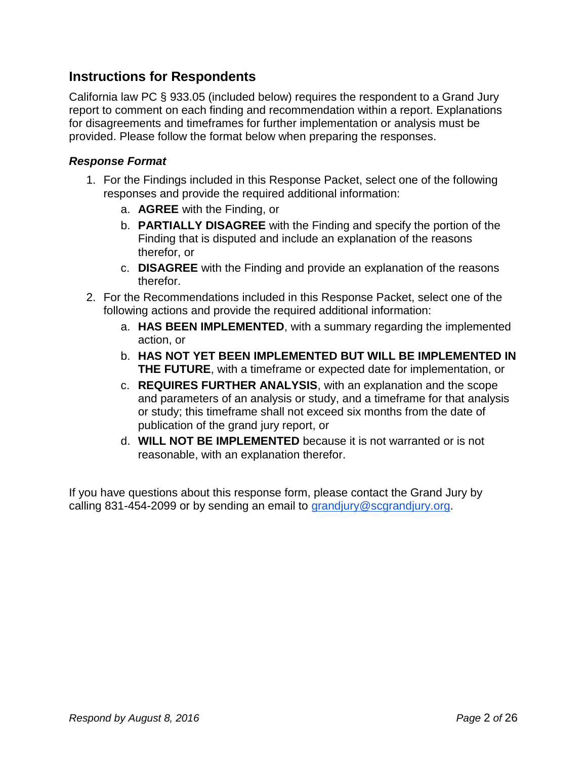#### **Instructions for Respondents**

California law PC § 933.05 (included below) requires the respondent to a Grand Jury report to comment on each finding and recommendation within a report. Explanations for disagreements and timeframes for further implementation or analysis must be provided. Please follow the format below when preparing the responses.

#### *Response Format*

- 1. For the Findings included in this Response Packet, select one of the following responses and provide the required additional information:
	- a. **AGREE** with the Finding, or
	- b. **PARTIALLY DISAGREE** with the Finding and specify the portion of the Finding that is disputed and include an explanation of the reasons therefor, or
	- c. **DISAGREE** with the Finding and provide an explanation of the reasons therefor.
- 2. For the Recommendations included in this Response Packet, select one of the following actions and provide the required additional information:
	- a. **HAS BEEN IMPLEMENTED**, with a summary regarding the implemented action, or
	- b. **HAS NOT YET BEEN IMPLEMENTED BUT WILL BE IMPLEMENTED IN THE FUTURE**, with a timeframe or expected date for implementation, or
	- c. **REQUIRES FURTHER ANALYSIS**, with an explanation and the scope and parameters of an analysis or study, and a timeframe for that analysis or study; this timeframe shall not exceed six months from the date of publication of the grand jury report, or
	- d. **WILL NOT BE IMPLEMENTED** because it is not warranted or is not reasonable, with an explanation therefor.

If you have questions about this response form, please contact the Grand Jury by calling 831-454-2099 or by sending an email to [grandjury@scgrandjury.org.](mailto:grandjury@scgrandjury.org)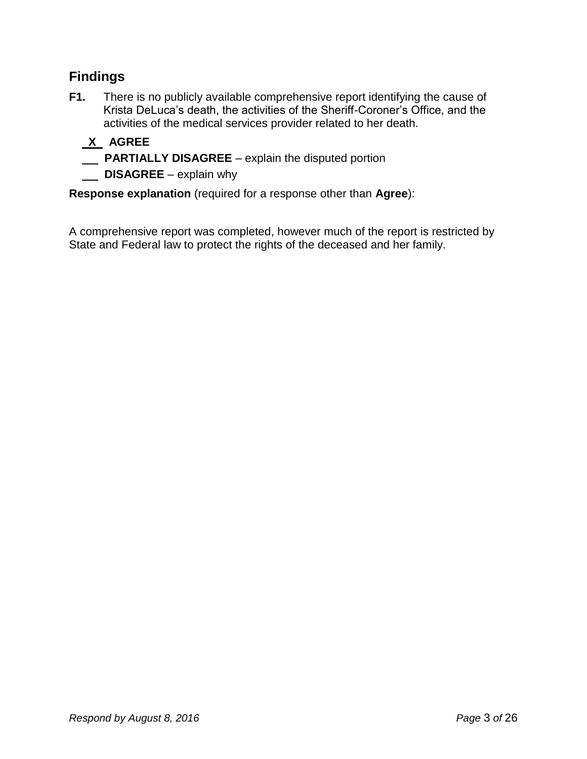#### **Findings**

**F1.** There is no publicly available comprehensive report identifying the cause of Krista DeLuca's death, the activities of the Sheriff-Coroner's Office, and the activities of the medical services provider related to her death.

### **X AGREE**

- **PARTIALLY DISAGREE** explain the disputed portion
- **DISAGREE** explain why

**Response explanation** (required for a response other than **Agree**):

A comprehensive report was completed, however much of the report is restricted by State and Federal law to protect the rights of the deceased and her family.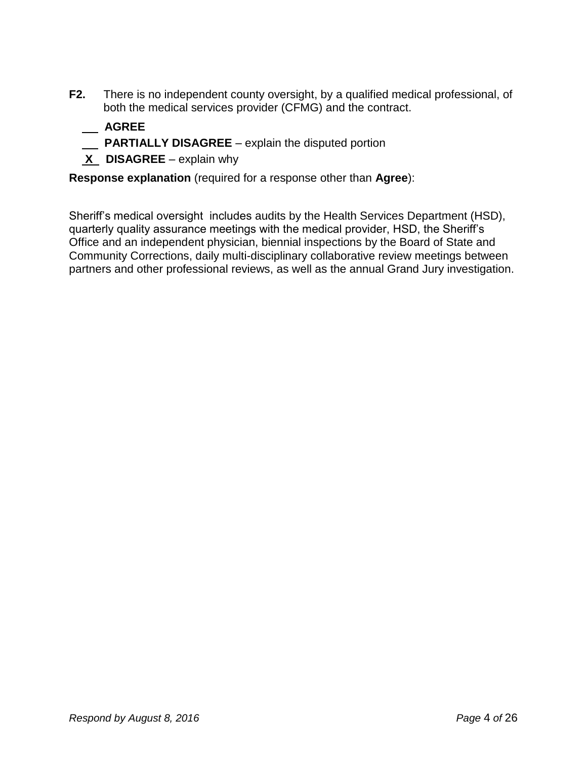- **F2.** There is no independent county oversight, by a qualified medical professional, of both the medical services provider (CFMG) and the contract.
	- **AGREE**
	- **PARTIALLY DISAGREE**  explain the disputed portion
	- **X DISAGREE** explain why

Sheriff's medical oversight includes audits by the Health Services Department (HSD), quarterly quality assurance meetings with the medical provider, HSD, the Sheriff's Office and an independent physician, biennial inspections by the Board of State and Community Corrections, daily multi-disciplinary collaborative review meetings between partners and other professional reviews, as well as the annual Grand Jury investigation.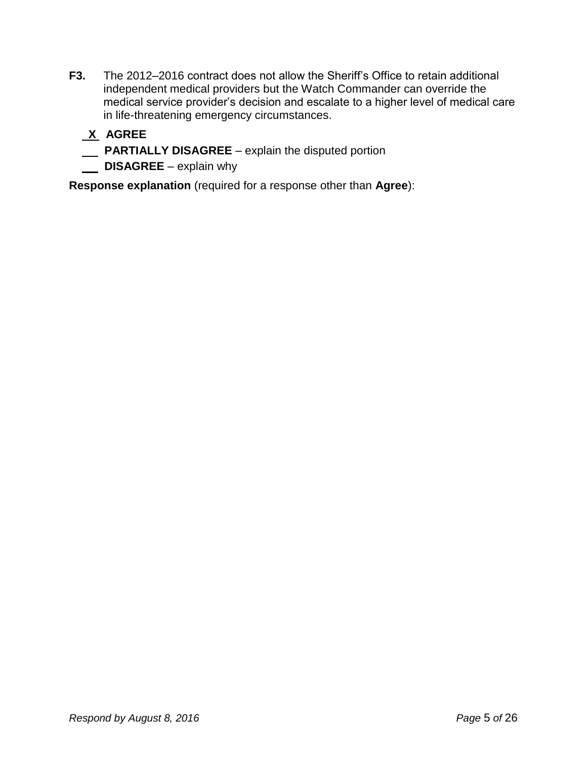- **F3.** The 2012–2016 contract does not allow the Sheriff's Office to retain additional independent medical providers but the Watch Commander can override the medical service provider's decision and escalate to a higher level of medical care in life-threatening emergency circumstances.
	- **X AGREE**
	- **PARTIALLY DISAGREE** explain the disputed portion
	- **DISAGREE** explain why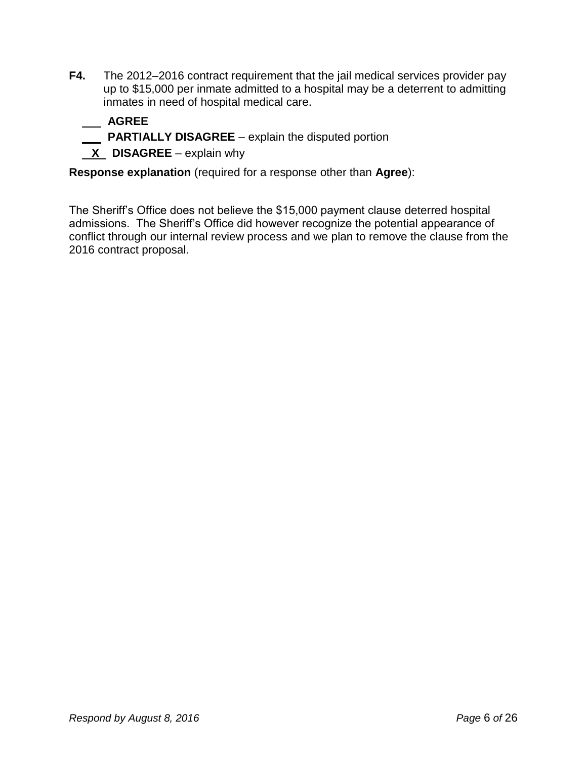**F4.** The 2012–2016 contract requirement that the jail medical services provider pay up to \$15,000 per inmate admitted to a hospital may be a deterrent to admitting inmates in need of hospital medical care.

#### **AGREE**

- **PARTIALLY DISAGREE**  explain the disputed portion
- **X** DISAGREE explain why

**Response explanation** (required for a response other than **Agree**):

The Sheriff's Office does not believe the \$15,000 payment clause deterred hospital admissions. The Sheriff's Office did however recognize the potential appearance of conflict through our internal review process and we plan to remove the clause from the 2016 contract proposal.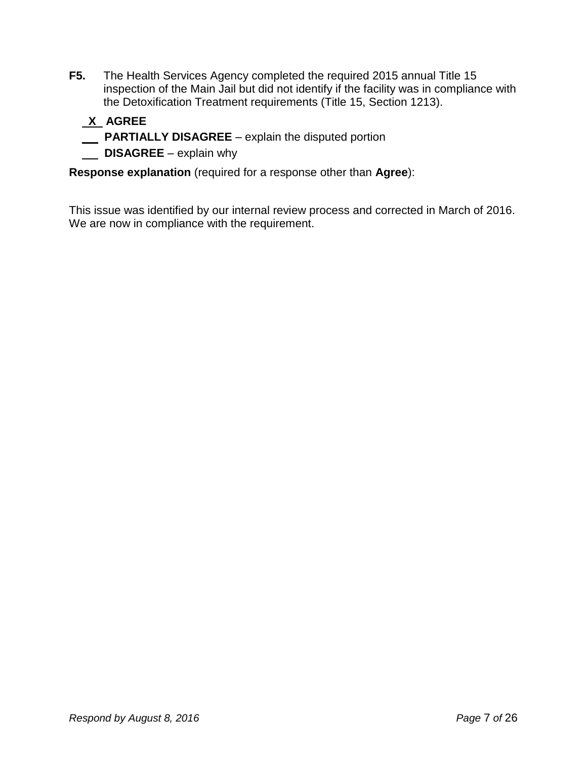**F5.** The Health Services Agency completed the required 2015 annual Title 15 inspection of the Main Jail but did not identify if the facility was in compliance with the Detoxification Treatment requirements (Title 15, Section 1213).

#### **X AGREE**

**PARTIALLY DISAGREE** – explain the disputed portion

**DISAGREE** – explain why

**Response explanation** (required for a response other than **Agree**):

This issue was identified by our internal review process and corrected in March of 2016. We are now in compliance with the requirement.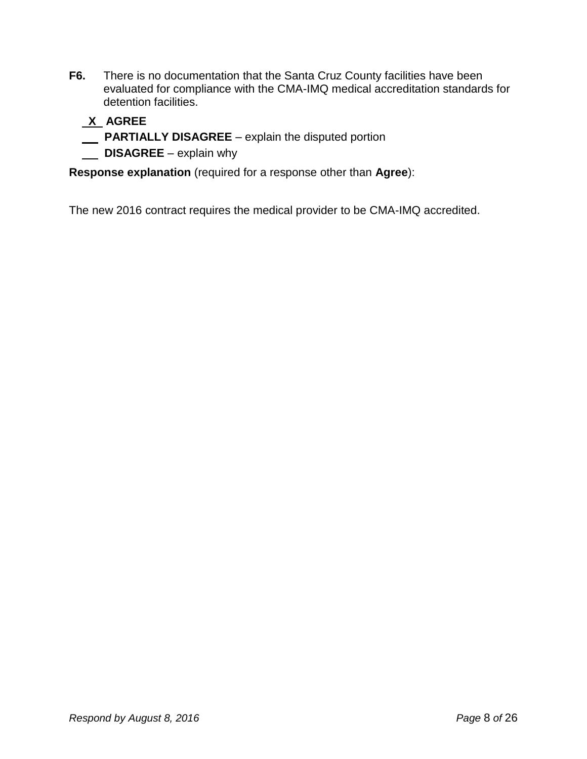**F6.** There is no documentation that the Santa Cruz County facilities have been evaluated for compliance with the CMA-IMQ medical accreditation standards for detention facilities.

#### **X AGREE**

**PARTIALLY DISAGREE** – explain the disputed portion

**DISAGREE** – explain why

**Response explanation** (required for a response other than **Agree**):

The new 2016 contract requires the medical provider to be CMA-IMQ accredited.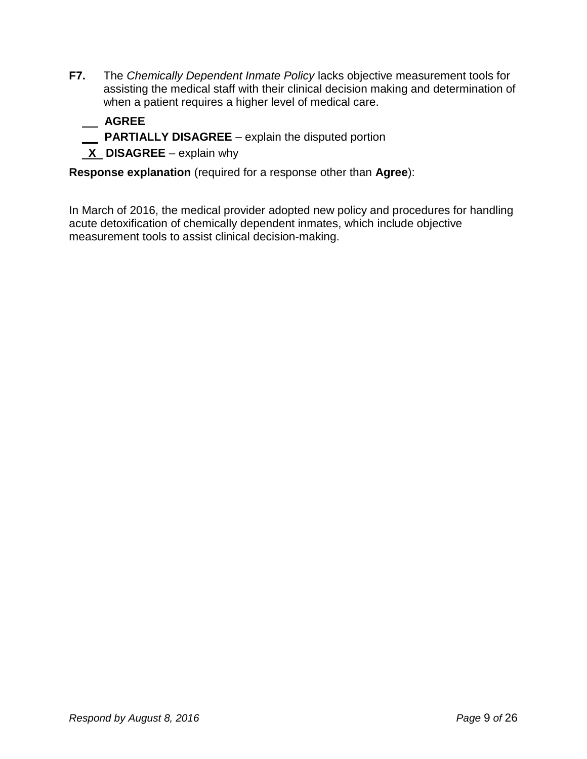**F7.** The *Chemically Dependent Inmate Policy* lacks objective measurement tools for assisting the medical staff with their clinical decision making and determination of when a patient requires a higher level of medical care.

#### **AGREE**

- **PARTIALLY DISAGREE**  explain the disputed portion
- **X DISAGREE** explain why

**Response explanation** (required for a response other than **Agree**):

In March of 2016, the medical provider adopted new policy and procedures for handling acute detoxification of chemically dependent inmates, which include objective measurement tools to assist clinical decision-making.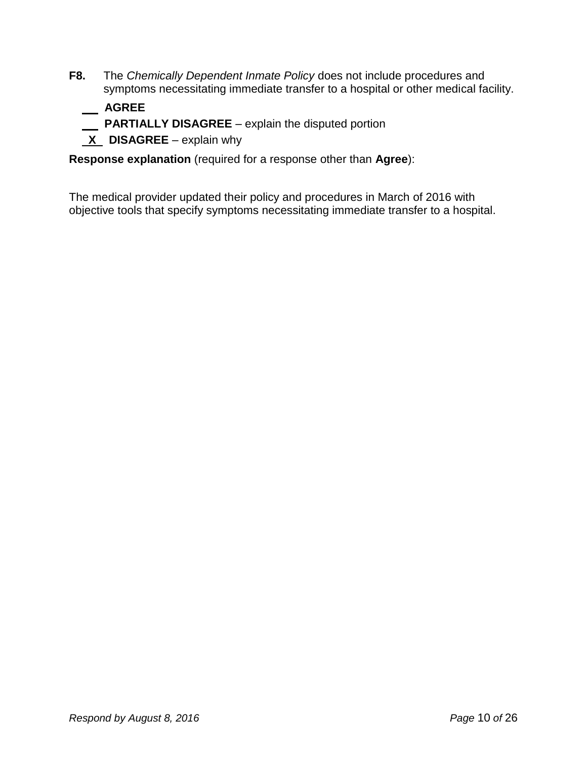**F8.** The *Chemically Dependent Inmate Policy* does not include procedures and symptoms necessitating immediate transfer to a hospital or other medical facility.

 **AGREE**

- **PARTIALLY DISAGREE**  explain the disputed portion
- **X DISAGREE** explain why

**Response explanation** (required for a response other than **Agree**):

The medical provider updated their policy and procedures in March of 2016 with objective tools that specify symptoms necessitating immediate transfer to a hospital.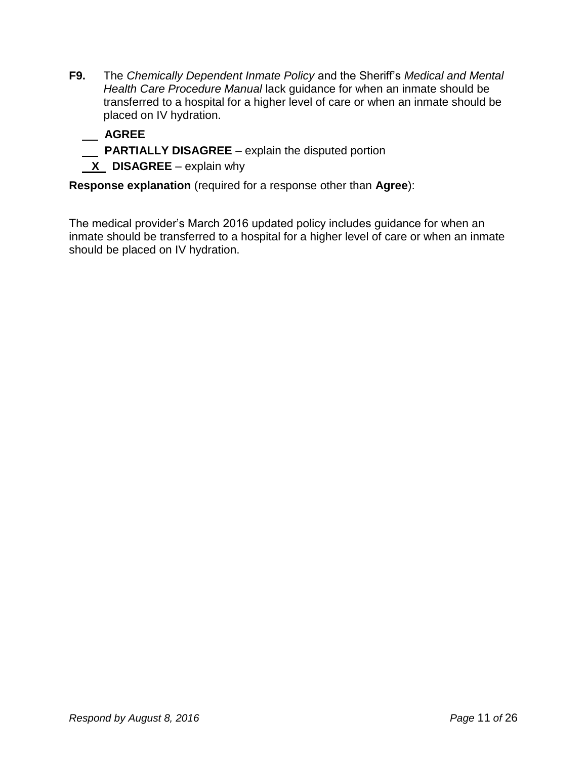- **F9.** The *Chemically Dependent Inmate Policy* and the Sheriff's *Medical and Mental Health Care Procedure Manual* lack guidance for when an inmate should be transferred to a hospital for a higher level of care or when an inmate should be placed on IV hydration.
	- **AGREE**
	- **PARTIALLY DISAGREE**  explain the disputed portion
	- **X** DISAGREE explain why

The medical provider's March 2016 updated policy includes guidance for when an inmate should be transferred to a hospital for a higher level of care or when an inmate should be placed on IV hydration.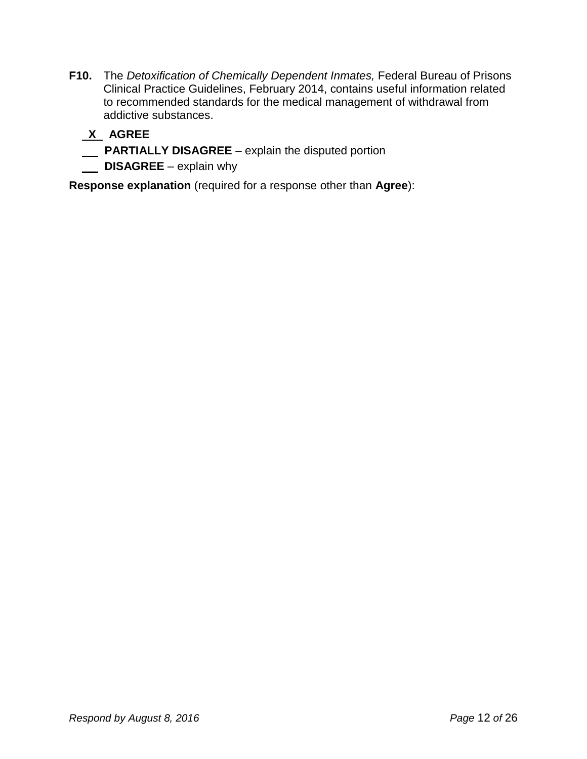- **F10.** The *Detoxification of Chemically Dependent Inmates,* Federal Bureau of Prisons Clinical Practice Guidelines, February 2014, contains useful information related to recommended standards for the medical management of withdrawal from addictive substances.
	- **X AGREE**
	- **PARTIALLY DISAGREE** explain the disputed portion
	- **DISAGREE** explain why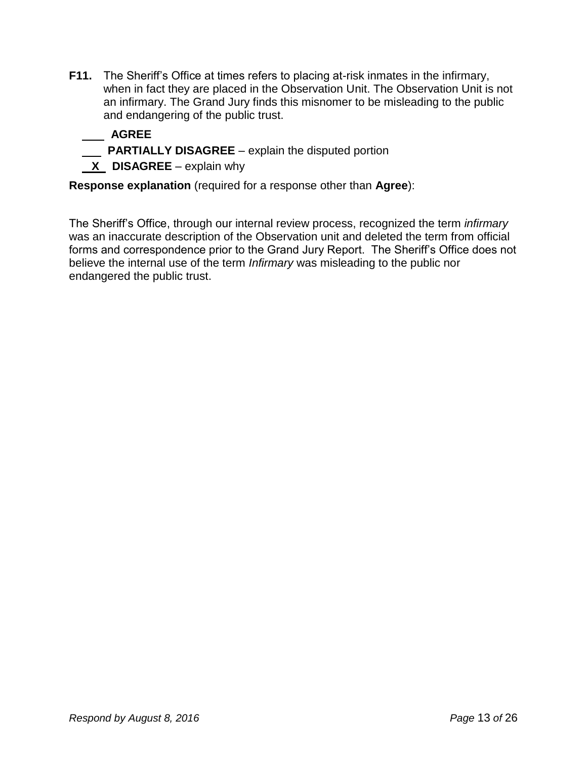- **F11.** The Sheriff's Office at times refers to placing at-risk inmates in the infirmary, when in fact they are placed in the Observation Unit. The Observation Unit is not an infirmary. The Grand Jury finds this misnomer to be misleading to the public and endangering of the public trust.
	- **AGREE**
	- **PARTIALLY DISAGREE**  explain the disputed portion
	- **X** DISAGREE explain why

The Sheriff's Office, through our internal review process, recognized the term *infirmary* was an inaccurate description of the Observation unit and deleted the term from official forms and correspondence prior to the Grand Jury Report. The Sheriff's Office does not believe the internal use of the term *Infirmary* was misleading to the public nor endangered the public trust.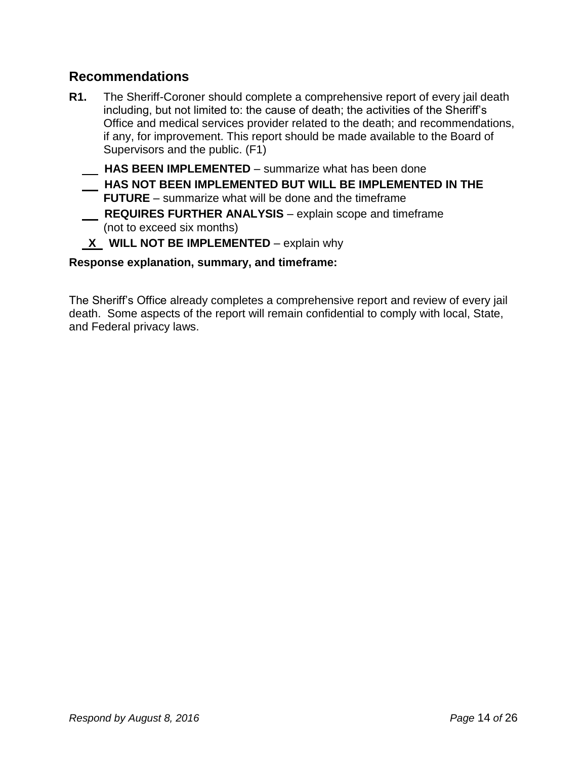#### **Recommendations**

- **R1.** The Sheriff-Coroner should complete a comprehensive report of every jail death including, but not limited to: the cause of death; the activities of the Sheriff's Office and medical services provider related to the death; and recommendations, if any, for improvement. This report should be made available to the Board of Supervisors and the public. (F1)  **HAS BEEN IMPLEMENTED** – summarize what has been done  **HAS NOT BEEN IMPLEMENTED BUT WILL BE IMPLEMENTED IN THE FUTURE** – summarize what will be done and the timeframe
	- **REQUIRES FURTHER ANALYSIS** explain scope and timeframe (not to exceed six months)
	- **X WILL NOT BE IMPLEMENTED** explain why

#### **Response explanation, summary, and timeframe:**

The Sheriff's Office already completes a comprehensive report and review of every jail death. Some aspects of the report will remain confidential to comply with local, State, and Federal privacy laws.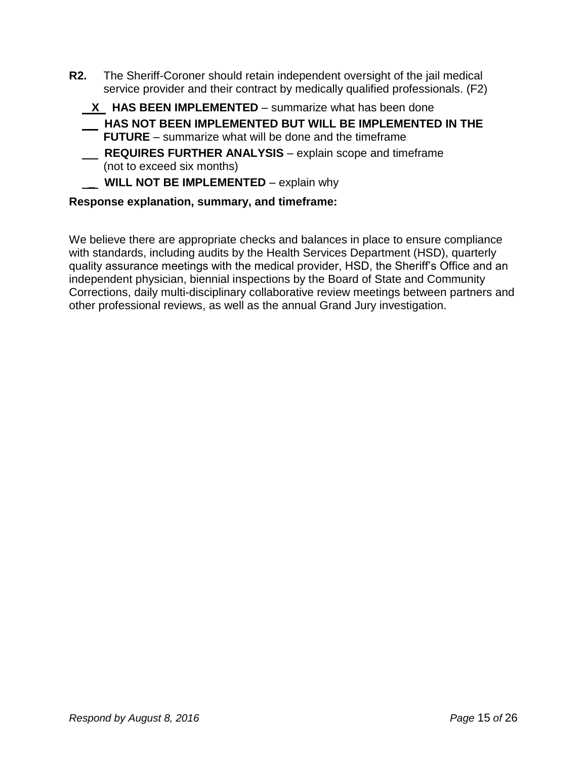- **R2.** The Sheriff-Coroner should retain independent oversight of the jail medical service provider and their contract by medically qualified professionals. (F2)
	- **X HAS BEEN IMPLEMENTED** summarize what has been done
	- **HAS NOT BEEN IMPLEMENTED BUT WILL BE IMPLEMENTED IN THE FUTURE** – summarize what will be done and the timeframe
	- **REQUIRES FURTHER ANALYSIS** explain scope and timeframe (not to exceed six months)
	- **\_\_ WILL NOT BE IMPLEMENTED** explain why

We believe there are appropriate checks and balances in place to ensure compliance with standards, including audits by the Health Services Department (HSD), quarterly quality assurance meetings with the medical provider, HSD, the Sheriff's Office and an independent physician, biennial inspections by the Board of State and Community Corrections, daily multi-disciplinary collaborative review meetings between partners and other professional reviews, as well as the annual Grand Jury investigation.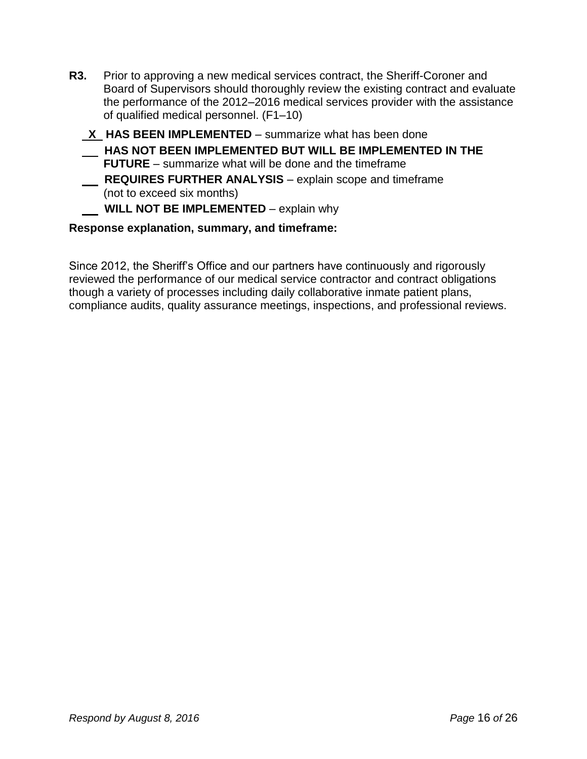- **R3.** Prior to approving a new medical services contract, the Sheriff-Coroner and Board of Supervisors should thoroughly review the existing contract and evaluate the performance of the 2012–2016 medical services provider with the assistance of qualified medical personnel. (F1–10)
	- **X HAS BEEN IMPLEMENTED**  summarize what has been done
	- **HAS NOT BEEN IMPLEMENTED BUT WILL BE IMPLEMENTED IN THE FUTURE** – summarize what will be done and the timeframe
	- **REQUIRES FURTHER ANALYSIS** explain scope and timeframe (not to exceed six months)
		- **WILL NOT BE IMPLEMENTED** explain why

Since 2012, the Sheriff's Office and our partners have continuously and rigorously reviewed the performance of our medical service contractor and contract obligations though a variety of processes including daily collaborative inmate patient plans, compliance audits, quality assurance meetings, inspections, and professional reviews.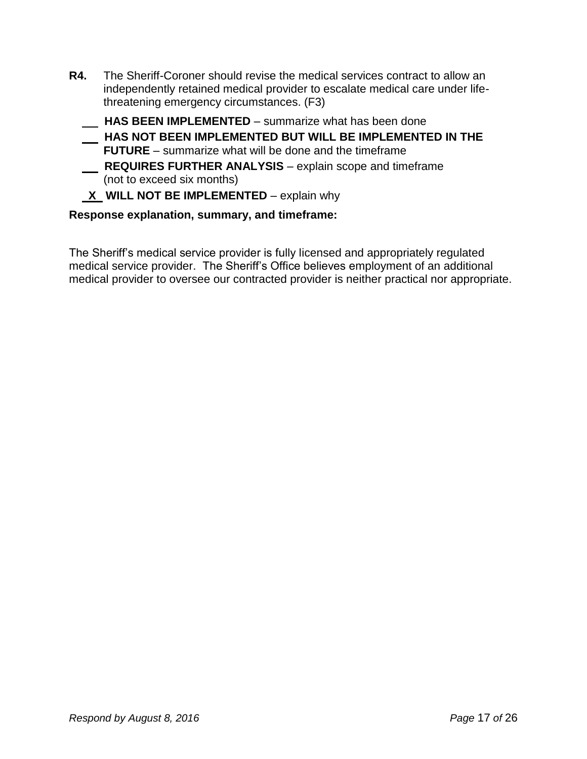- **R4.** The Sheriff-Coroner should revise the medical services contract to allow an independently retained medical provider to escalate medical care under lifethreatening emergency circumstances. (F3)
	- **HAS BEEN IMPLEMENTED** summarize what has been done  **HAS NOT BEEN IMPLEMENTED BUT WILL BE IMPLEMENTED IN THE FUTURE** – summarize what will be done and the timeframe
	- **REQUIRES FURTHER ANALYSIS** explain scope and timeframe (not to exceed six months)
	- **X WILL NOT BE IMPLEMENTED** explain why

The Sheriff's medical service provider is fully licensed and appropriately regulated medical service provider. The Sheriff's Office believes employment of an additional medical provider to oversee our contracted provider is neither practical nor appropriate.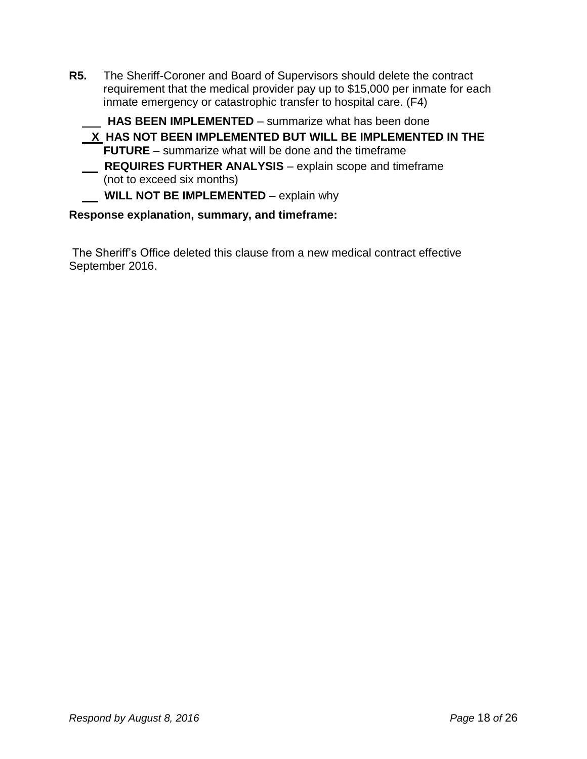**R5.** The Sheriff-Coroner and Board of Supervisors should delete the contract requirement that the medical provider pay up to \$15,000 per inmate for each inmate emergency or catastrophic transfer to hospital care. (F4)

**HAS BEEN IMPLEMENTED** – summarize what has been done

 **X HAS NOT BEEN IMPLEMENTED BUT WILL BE IMPLEMENTED IN THE FUTURE** – summarize what will be done and the timeframe  **REQUIRES FURTHER ANALYSIS** – explain scope and timeframe (not to exceed six months)

**WILL NOT BE IMPLEMENTED** – explain why

#### **Response explanation, summary, and timeframe:**

The Sheriff's Office deleted this clause from a new medical contract effective September 2016.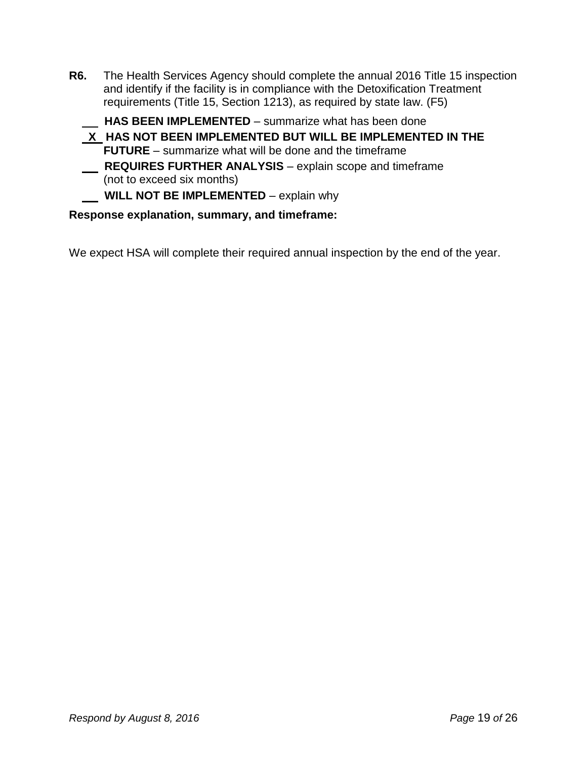**R6.** The Health Services Agency should complete the annual 2016 Title 15 inspection and identify if the facility is in compliance with the Detoxification Treatment requirements (Title 15, Section 1213), as required by state law. (F5)

 **HAS BEEN IMPLEMENTED** – summarize what has been done

**X HAS NOT BEEN IMPLEMENTED BUT WILL BE IMPLEMENTED IN THE FUTURE** – summarize what will be done and the timeframe  **REQUIRES FURTHER ANALYSIS** – explain scope and timeframe (not to exceed six months)

**WILL NOT BE IMPLEMENTED** – explain why

#### **Response explanation, summary, and timeframe:**

We expect HSA will complete their required annual inspection by the end of the year.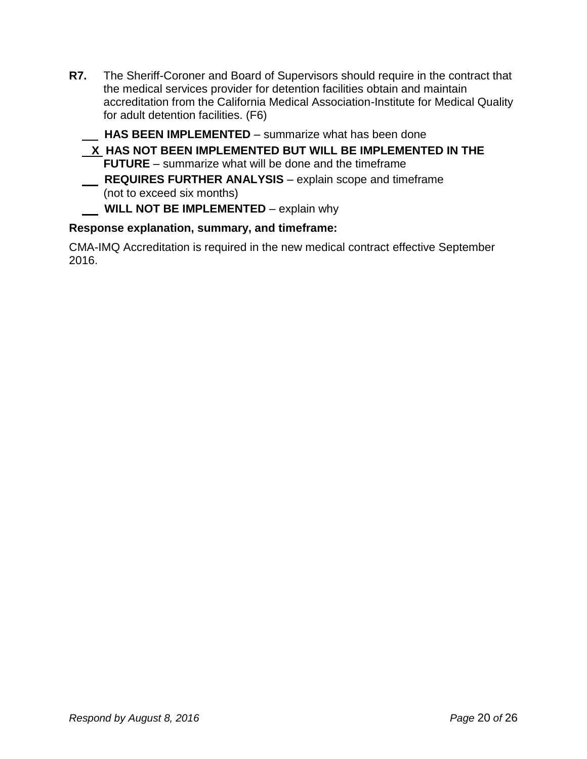- **R7.** The Sheriff-Coroner and Board of Supervisors should require in the contract that the medical services provider for detention facilities obtain and maintain accreditation from the California Medical Association-Institute for Medical Quality for adult detention facilities. (F6)
	- **HAS BEEN IMPLEMENTED**  summarize what has been done
	- **X HAS NOT BEEN IMPLEMENTED BUT WILL BE IMPLEMENTED IN THE FUTURE** – summarize what will be done and the timeframe  **REQUIRES FURTHER ANALYSIS** – explain scope and timeframe

(not to exceed six months)

 **WILL NOT BE IMPLEMENTED** – explain why

#### **Response explanation, summary, and timeframe:**

CMA-IMQ Accreditation is required in the new medical contract effective September 2016.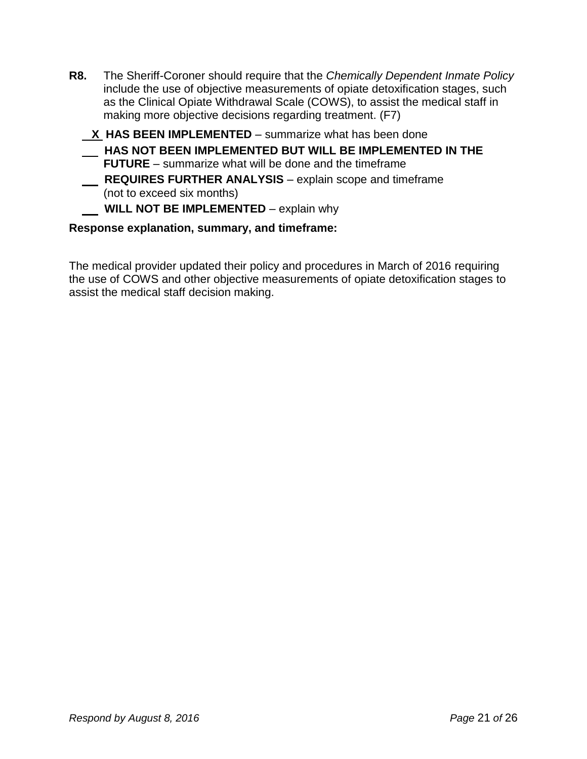- **R8.** The Sheriff-Coroner should require that the *Chemically Dependent Inmate Policy* include the use of objective measurements of opiate detoxification stages, such as the Clinical Opiate Withdrawal Scale (COWS), to assist the medical staff in making more objective decisions regarding treatment. (F7)
	- **X** HAS BEEN IMPLEMENTED summarize what has been done
		- **HAS NOT BEEN IMPLEMENTED BUT WILL BE IMPLEMENTED IN THE FUTURE** – summarize what will be done and the timeframe
	- **REQUIRES FURTHER ANALYSIS** explain scope and timeframe (not to exceed six months)

#### **WILL NOT BE IMPLEMENTED** – explain why

#### **Response explanation, summary, and timeframe:**

The medical provider updated their policy and procedures in March of 2016 requiring the use of COWS and other objective measurements of opiate detoxification stages to assist the medical staff decision making.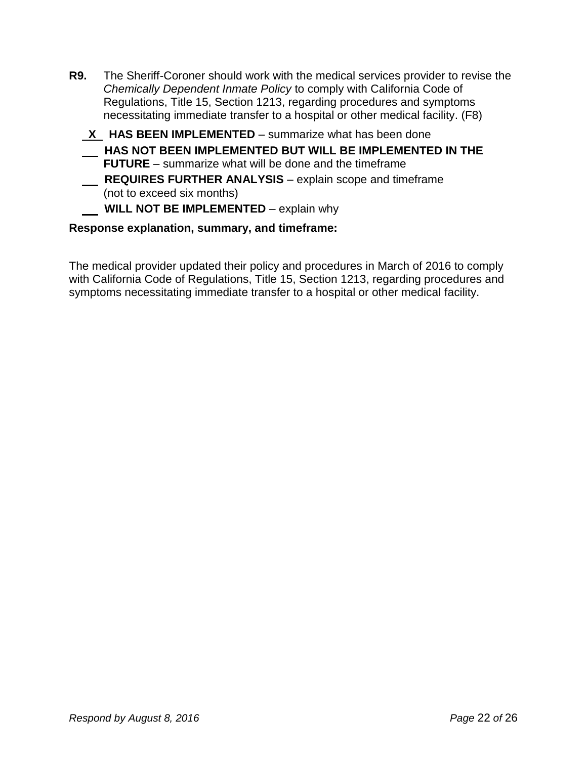| R9. | The Sheriff-Coroner should work with the medical services provider to revise the<br>Chemically Dependent Inmate Policy to comply with California Code of<br>Regulations, Title 15, Section 1213, regarding procedures and symptoms |
|-----|------------------------------------------------------------------------------------------------------------------------------------------------------------------------------------------------------------------------------------|
|     | necessitating immediate transfer to a hospital or other medical facility. (F8)                                                                                                                                                     |
|     | VIII LA BEEN IMBLEMENTER AND A STRING HOLD AND A LOCAL CONTRACT IN A LOCAL CONTRACT OF A LOCAL CONTRACT OF A LOCAL CONTRACT OF A LOCAL CONTRACT OF A LOCAL CONTRACT OF A LOCAL CONTRACT OF A LOCAL CONTRACT OF A LOCAL CONTRAC     |

#### **<u>X</u>** HAS BEEN IMPLEMENTED – summarize what has been done  **HAS NOT BEEN IMPLEMENTED BUT WILL BE IMPLEMENTED IN THE FUTURE** – summarize what will be done and the timeframe  **REQUIRES FURTHER ANALYSIS** – explain scope and timeframe

(not to exceed six months)

#### **WILL NOT BE IMPLEMENTED** – explain why

#### **Response explanation, summary, and timeframe:**

The medical provider updated their policy and procedures in March of 2016 to comply with California Code of Regulations, Title 15, Section 1213, regarding procedures and symptoms necessitating immediate transfer to a hospital or other medical facility.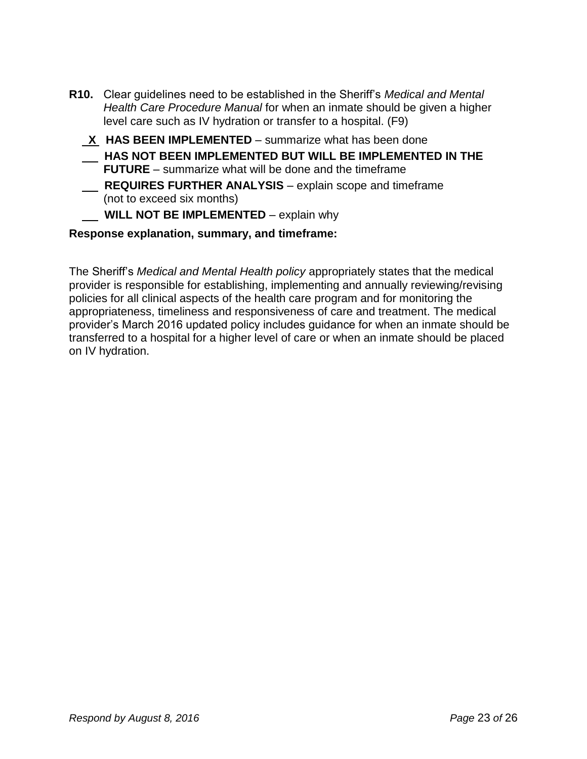- **R10.** Clear guidelines need to be established in the Sheriff's *Medical and Mental Health Care Procedure Manual* for when an inmate should be given a higher level care such as IV hydration or transfer to a hospital. (F9)
	- **X HAS BEEN IMPLEMENTED**  summarize what has been done
	- **HAS NOT BEEN IMPLEMENTED BUT WILL BE IMPLEMENTED IN THE FUTURE** – summarize what will be done and the timeframe
	- **REQUIRES FURTHER ANALYSIS** explain scope and timeframe (not to exceed six months)
		- **WILL NOT BE IMPLEMENTED** explain why

The Sheriff's *Medical and Mental Health policy* appropriately states that the medical provider is responsible for establishing, implementing and annually reviewing/revising policies for all clinical aspects of the health care program and for monitoring the appropriateness, timeliness and responsiveness of care and treatment. The medical provider's March 2016 updated policy includes guidance for when an inmate should be transferred to a hospital for a higher level of care or when an inmate should be placed on IV hydration.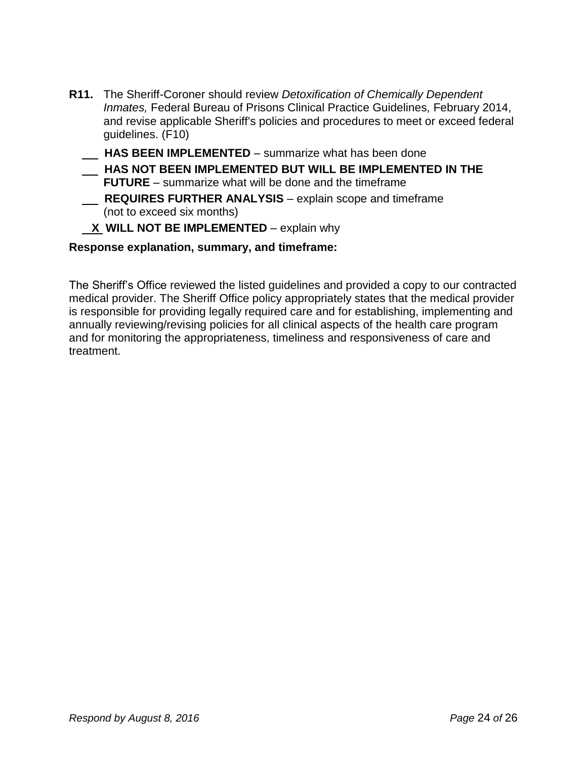- **R11.** The Sheriff-Coroner should review *Detoxification of Chemically Dependent Inmates,* Federal Bureau of Prisons Clinical Practice Guidelines, February 2014, and revise applicable Sheriff's policies and procedures to meet or exceed federal guidelines. (F10)
	- **HAS BEEN IMPLEMENTED**  summarize what has been done  **HAS NOT BEEN IMPLEMENTED BUT WILL BE IMPLEMENTED IN THE FUTURE** – summarize what will be done and the timeframe  **REQUIRES FURTHER ANALYSIS** – explain scope and timeframe (not to exceed six months)

#### **X WILL NOT BE IMPLEMENTED** – explain why

**Response explanation, summary, and timeframe:**

The Sheriff's Office reviewed the listed guidelines and provided a copy to our contracted medical provider. The Sheriff Office policy appropriately states that the medical provider is responsible for providing legally required care and for establishing, implementing and annually reviewing/revising policies for all clinical aspects of the health care program and for monitoring the appropriateness, timeliness and responsiveness of care and treatment.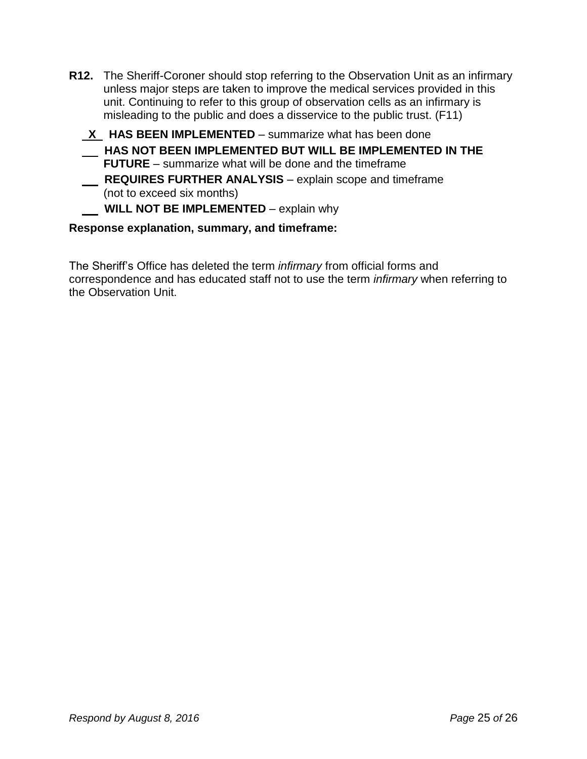- **R12.** The Sheriff-Coroner should stop referring to the Observation Unit as an infirmary unless major steps are taken to improve the medical services provided in this unit. Continuing to refer to this group of observation cells as an infirmary is misleading to the public and does a disservice to the public trust. (F11)
	- **X HAS BEEN IMPLEMENTED**  summarize what has been done
	- **HAS NOT BEEN IMPLEMENTED BUT WILL BE IMPLEMENTED IN THE FUTURE** – summarize what will be done and the timeframe
	- **REQUIRES FURTHER ANALYSIS** explain scope and timeframe (not to exceed six months)

#### **WILL NOT BE IMPLEMENTED** – explain why

#### **Response explanation, summary, and timeframe:**

The Sheriff's Office has deleted the term *infirmary* from official forms and correspondence and has educated staff not to use the term *infirmary* when referring to the Observation Unit.